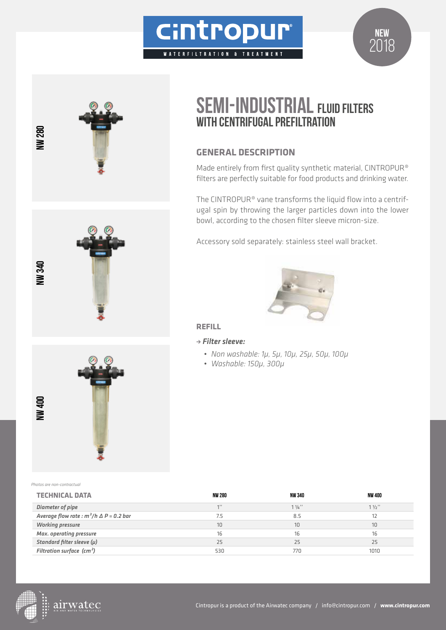





# **SEMI-INDUSTRIAL FLUID FILTERS** WITH CENTRIFUGAL PREFILTRATION

# **GENERAL DESCRIPTION**

Made entirely from first quality synthetic material, CINTROPUR® filters are perfectly suitable for food products and drinking water.

The CINTROPUR® vane transforms the liquid flow into a centrifugal spin by throwing the larger particles down into the lower bowl, according to the chosen filter sleeve micron-size.

Accessory sold separately: stainless steel wall bracket.



## **REFILL**

#### <sup>&</sup>gt; *Filter sleeve:*

- *• Non washable: 1µ, 5µ, 10µ, 25µ, 50µ, 100µ*
- *• Washable: 150µ, 300µ*

*Photos are non-contractual*

| <b>TECHNICAL DATA</b>                             | <b>NW 280</b> | NW 340           | NW 400 |
|---------------------------------------------------|---------------|------------------|--------|
| Diameter of pipe                                  | 111           | $1\frac{1}{4}$ " | 11/2"  |
| Average flow rate : $m^3/h \triangle P = 0.2$ bar | 7.5           | 8.5              |        |
| <b>Working pressure</b>                           | 10            | 10               | 10     |
| <b>Max.</b> operating pressure                    | 16            |                  | 16     |
| Standard filter sleeve $(\mu)$                    | 25            | 25               | 25     |
| Filtration surface $(cm2)$                        | 530           | 770              | 1010   |